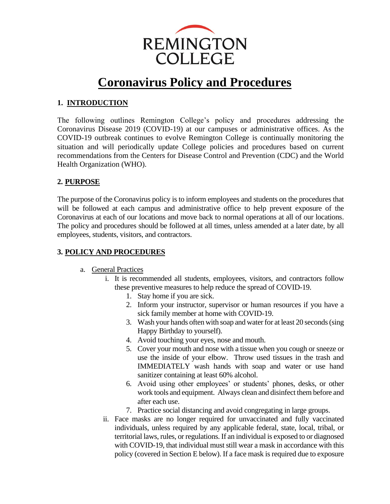

# **Coronavirus Policy and Procedures**

## **1. INTRODUCTION**

The following outlines Remington College's policy and procedures addressing the Coronavirus Disease 2019 (COVID-19) at our campuses or administrative offices. As the COVID-19 outbreak continues to evolve Remington College is continually monitoring the situation and will periodically update College policies and procedures based on current recommendations from the Centers for Disease Control and Prevention (CDC) and the World Health Organization (WHO).

## **2. PURPOSE**

The purpose of the Coronavirus policy is to inform employees and students on the procedures that will be followed at each campus and administrative office to help prevent exposure of the Coronavirus at each of our locations and move back to normal operations at all of our locations. The policy and procedures should be followed at all times, unless amended at a later date, by all employees, students, visitors, and contractors.

# **3. POLICY AND PROCEDURES**

- a. General Practices
	- i. It is recommended all students, employees, visitors, and contractors follow these preventive measures to help reduce the spread of COVID-19.
		- 1. Stay home if you are sick.
		- 2. Inform your instructor, supervisor or human resources if you have a sick family member at home with COVID-19.
		- 3. Wash your hands often with soap and water for at least 20 seconds (sing Happy Birthday to yourself).
		- 4. Avoid touching your eyes, nose and mouth.
		- 5. Cover your mouth and nose with a tissue when you cough or sneeze or use the inside of your elbow. Throw used tissues in the trash and IMMEDIATELY wash hands with soap and water or use hand sanitizer containing at least 60% alcohol.
		- 6. Avoid using other employees' or students' phones, desks, or other work tools and equipment. Always clean and disinfect them before and after each use.
		- 7. Practice social distancing and avoid congregating in large groups.
	- ii. Face masks are no longer required for unvaccinated and fully vaccinated individuals, unless required by any applicable federal, state, local, tribal, or territorial laws, rules, or regulations. If an individual is exposed to or diagnosed with COVID-19, that individual must still wear a mask in accordance with this policy (covered in Section E below). If a face mask is required due to exposure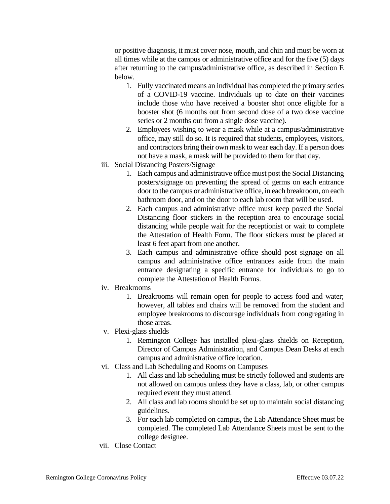or positive diagnosis, it must cover nose, mouth, and chin and must be worn at all times while at the campus or administrative office and for the five (5) days after returning to the campus/administrative office, as described in Section E below.

- 1. Fully vaccinated means an individual has completed the primary series of a COVID-19 vaccine. Individuals up to date on their vaccines include those who have received a booster shot once eligible for a booster shot (6 months out from second dose of a two dose vaccine series or 2 months out from a single dose vaccine).
- 2. Employees wishing to wear a mask while at a campus/administrative office, may still do so. It is required that students, employees, visitors, and contractors bring their own mask to wear each day. If a person does not have a mask, a mask will be provided to them for that day.
- iii. Social Distancing Posters/Signage
	- 1. Each campus and administrative office must post the Social Distancing posters/signage on preventing the spread of germs on each entrance door to the campus or administrative office, in each breakroom, on each bathroom door, and on the door to each lab room that will be used.
	- 2. Each campus and administrative office must keep posted the Social Distancing floor stickers in the reception area to encourage social distancing while people wait for the receptionist or wait to complete the Attestation of Health Form. The floor stickers must be placed at least 6 feet apart from one another.
	- 3. Each campus and administrative office should post signage on all campus and administrative office entrances aside from the main entrance designating a specific entrance for individuals to go to complete the Attestation of Health Forms.
- iv. Breakrooms
	- 1. Breakrooms will remain open for people to access food and water; however, all tables and chairs will be removed from the student and employee breakrooms to discourage individuals from congregating in those areas.
- v. Plexi-glass shields
	- 1. Remington College has installed plexi-glass shields on Reception, Director of Campus Administration, and Campus Dean Desks at each campus and administrative office location.
- vi. Class and Lab Scheduling and Rooms on Campuses
	- 1. All class and lab scheduling must be strictly followed and students are not allowed on campus unless they have a class, lab, or other campus required event they must attend.
	- 2. All class and lab rooms should be set up to maintain social distancing guidelines.
	- 3. For each lab completed on campus, the Lab Attendance Sheet must be completed. The completed Lab Attendance Sheets must be sent to the college designee.
- vii. Close Contact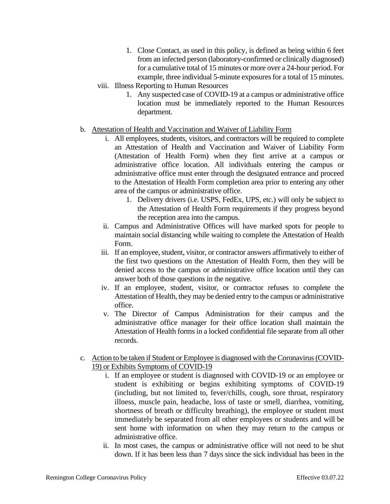- 1. Close Contact, as used in this policy, is defined as being within 6 feet from an infected person (laboratory-confirmed or clinically diagnosed) for a cumulative total of 15 minutes or more over a 24-hour period. For example, three individual 5-minute exposures for a total of 15 minutes.
- viii. Illness Reporting to Human Resources
	- 1. Any suspected case of COVID-19 at a campus or administrative office location must be immediately reported to the Human Resources department.

#### b. Attestation of Health and Vaccination and Waiver of Liability Form

- i. All employees, students, visitors, and contractors will be required to complete an Attestation of Health and Vaccination and Waiver of Liability Form (Attestation of Health Form) when they first arrive at a campus or administrative office location. All individuals entering the campus or administrative office must enter through the designated entrance and proceed to the Attestation of Health Form completion area prior to entering any other area of the campus or administrative office.
	- 1. Delivery drivers (i.e. USPS, FedEx, UPS, etc.) will only be subject to the Attestation of Health Form requirements if they progress beyond the reception area into the campus.
- ii. Campus and Administrative Offices will have marked spots for people to maintain social distancing while waiting to complete the Attestation of Health Form.
- iii. If an employee, student, visitor, or contractor answers affirmatively to either of the first two questions on the Attestation of Health Form, then they will be denied access to the campus or administrative office location until they can answer both of those questions in the negative.
- iv. If an employee, student, visitor, or contractor refuses to complete the Attestation of Health, they may be denied entry to the campus or administrative office.
- v. The Director of Campus Administration for their campus and the administrative office manager for their office location shall maintain the Attestation of Health forms in a locked confidential file separate from all other records.

#### c. Action to be taken if Student or Employee is diagnosed with the Coronavirus (COVID-19) or Exhibits Symptoms of COVID-19

- i. If an employee or student is diagnosed with COVID-19 or an employee or student is exhibiting or begins exhibiting symptoms of COVID-19 (including, but not limited to, fever/chills, cough, sore throat, respiratory illness, muscle pain, headache, loss of taste or smell, diarrhea, vomiting, shortness of breath or difficulty breathing), the employee or student must immediately be separated from all other employees or students and will be sent home with information on when they may return to the campus or administrative office.
- ii. In most cases, the campus or administrative office will not need to be shut down. If it has been less than 7 days since the sick individual has been in the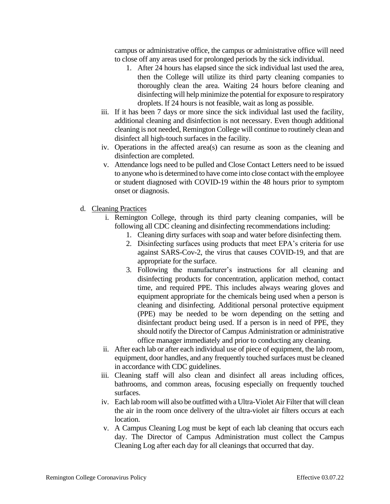campus or administrative office, the campus or administrative office will need to close off any areas used for prolonged periods by the sick individual.

- 1. After 24 hours has elapsed since the sick individual last used the area, then the College will utilize its third party cleaning companies to thoroughly clean the area. Waiting 24 hours before cleaning and disinfecting will help minimize the potential for exposure to respiratory droplets. If 24 hours is not feasible, wait as long as possible.
- iii. If it has been 7 days or more since the sick individual last used the facility, additional cleaning and disinfection is not necessary. Even though additional cleaning is not needed, Remington College will continue to routinely clean and disinfect all high-touch surfaces in the facility.
- iv. Operations in the affected area(s) can resume as soon as the cleaning and disinfection are completed.
- v. Attendance logs need to be pulled and Close Contact Letters need to be issued to anyone who is determined to have come into close contact with the employee or student diagnosed with COVID-19 within the 48 hours prior to symptom onset or diagnosis.
- d. Cleaning Practices
	- i. Remington College, through its third party cleaning companies, will be following all CDC cleaning and disinfecting recommendations including:
		- 1. Cleaning dirty surfaces with soap and water before disinfecting them.
		- 2. Disinfecting surfaces using products that meet EPA's criteria for use against SARS-Cov-2, the virus that causes COVID-19, and that are appropriate for the surface.
		- 3. Following the manufacturer's instructions for all cleaning and disinfecting products for concentration, application method, contact time, and required PPE. This includes always wearing gloves and equipment appropriate for the chemicals being used when a person is cleaning and disinfecting. Additional personal protective equipment (PPE) may be needed to be worn depending on the setting and disinfectant product being used. If a person is in need of PPE, they should notify the Director of Campus Administration or administrative office manager immediately and prior to conducting any cleaning.
	- ii. After each lab or after each individual use of piece of equipment, the lab room, equipment, door handles, and any frequently touched surfaces must be cleaned in accordance with CDC guidelines.
	- iii. Cleaning staff will also clean and disinfect all areas including offices, bathrooms, and common areas, focusing especially on frequently touched surfaces.
	- iv. Each lab room will also be outfitted with a Ultra-Violet Air Filter that will clean the air in the room once delivery of the ultra-violet air filters occurs at each location.
	- v. A Campus Cleaning Log must be kept of each lab cleaning that occurs each day. The Director of Campus Administration must collect the Campus Cleaning Log after each day for all cleanings that occurred that day.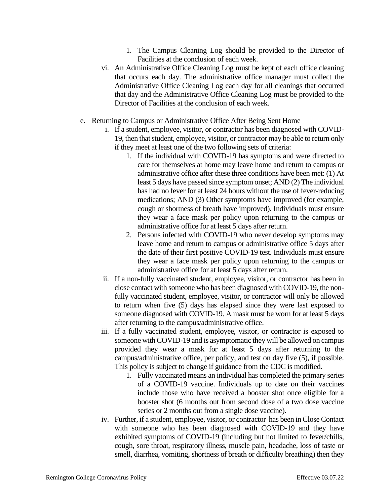- 1. The Campus Cleaning Log should be provided to the Director of Facilities at the conclusion of each week.
- vi. An Administrative Office Cleaning Log must be kept of each office cleaning that occurs each day. The administrative office manager must collect the Administrative Office Cleaning Log each day for all cleanings that occurred that day and the Administrative Office Cleaning Log must be provided to the Director of Facilities at the conclusion of each week.
- e. Returning to Campus or Administrative Office After Being Sent Home
	- i. If a student, employee, visitor, or contractor has been diagnosed with COVID-19, then that student, employee, visitor, or contractor may be able to return only if they meet at least one of the two following sets of criteria:
		- 1. If the individual with COVID-19 has symptoms and were directed to care for themselves at home may leave home and return to campus or administrative office after these three conditions have been met: (1) At least 5 days have passed since symptom onset; AND (2) The individual has had no fever for at least 24 hours without the use of fever-reducing medications; AND (3) Other symptoms have improved (for example, cough or shortness of breath have improved). Individuals must ensure they wear a face mask per policy upon returning to the campus or administrative office for at least 5 days after return.
		- 2. Persons infected with COVID-19 who never develop symptoms may leave home and return to campus or administrative office 5 days after the date of their first positive COVID-19 test. Individuals must ensure they wear a face mask per policy upon returning to the campus or administrative office for at least 5 days after return.
	- ii. If a non-fully vaccinated student, employee, visitor, or contractor has been in close contact with someone who has been diagnosed with COVID-19, the nonfully vaccinated student, employee, visitor, or contractor will only be allowed to return when five (5) days has elapsed since they were last exposed to someone diagnosed with COVID-19. A mask must be worn for at least 5 days after returning to the campus/administrative office.
	- iii. If a fully vaccinated student, employee, visitor, or contractor is exposed to someone with COVID-19 and is asymptomatic they will be allowed on campus provided they wear a mask for at least 5 days after returning to the campus/administrative office, per policy, and test on day five (5), if possible. This policy is subject to change if guidance from the CDC is modified.
		- 1. Fully vaccinated means an individual has completed the primary series of a COVID-19 vaccine. Individuals up to date on their vaccines include those who have received a booster shot once eligible for a booster shot (6 months out from second dose of a two dose vaccine series or 2 months out from a single dose vaccine).
	- iv. Further, if a student, employee, visitor, or contractor has been in Close Contact with someone who has been diagnosed with COVID-19 and they have exhibited symptoms of COVID-19 (including but not limited to fever/chills, cough, sore throat, respiratory illness, muscle pain, headache, loss of taste or smell, diarrhea, vomiting, shortness of breath or difficulty breathing) then they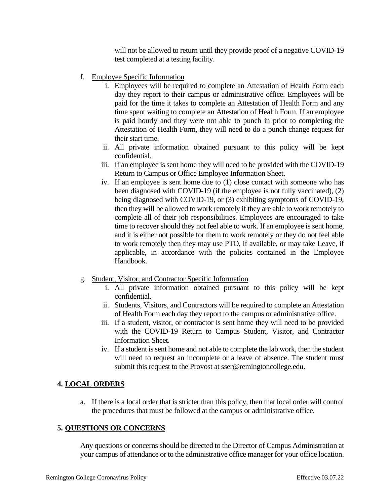will not be allowed to return until they provide proof of a negative COVID-19 test completed at a testing facility.

- f. Employee Specific Information
	- i. Employees will be required to complete an Attestation of Health Form each day they report to their campus or administrative office. Employees will be paid for the time it takes to complete an Attestation of Health Form and any time spent waiting to complete an Attestation of Health Form. If an employee is paid hourly and they were not able to punch in prior to completing the Attestation of Health Form, they will need to do a punch change request for their start time.
	- ii. All private information obtained pursuant to this policy will be kept confidential.
	- iii. If an employee is sent home they will need to be provided with the COVID-19 Return to Campus or Office Employee Information Sheet.
	- iv. If an employee is sent home due to (1) close contact with someone who has been diagnosed with COVID-19 (if the employee is not fully vaccinated), (2) being diagnosed with COVID-19, or (3) exhibiting symptoms of COVID-19, then they will be allowed to work remotely if they are able to work remotely to complete all of their job responsibilities. Employees are encouraged to take time to recover should they not feel able to work. If an employee is sent home, and it is either not possible for them to work remotely or they do not feel able to work remotely then they may use PTO, if available, or may take Leave, if applicable, in accordance with the policies contained in the Employee Handbook.
- g. Student, Visitor, and Contractor Specific Information
	- i. All private information obtained pursuant to this policy will be kept confidential.
	- ii. Students, Visitors, and Contractors will be required to complete an Attestation of Health Form each day they report to the campus or administrative office.
	- iii. If a student, visitor, or contractor is sent home they will need to be provided with the COVID-19 Return to Campus Student, Visitor, and Contractor Information Sheet.
	- iv. If a student is sent home and not able to complete the lab work, then the student will need to request an incomplete or a leave of absence. The student must submit this request to the Provost at sser@remingtoncollege.edu.

## **4. LOCAL ORDERS**

a. If there is a local order that is stricter than this policy, then that local order will control the procedures that must be followed at the campus or administrative office.

#### **5. QUESTIONS OR CONCERNS**

Any questions or concerns should be directed to the Director of Campus Administration at your campus of attendance or to the administrative office manager for your office location.